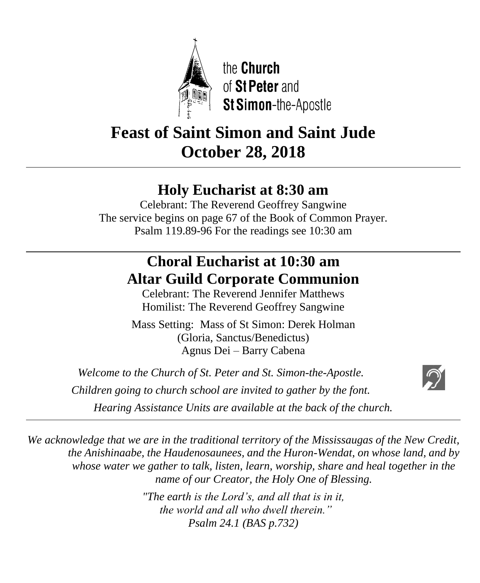

the Church of St Peter and St Simon-the-Apostle

# **Feast of Saint Simon and Saint Jude October 28, 2018**

## **Holy Eucharist at 8:30 am**

Celebrant: The Reverend Geoffrey Sangwine The service begins on page 67 of the Book of Common Prayer. Psalm 119.89-96 For the readings see 10:30 am

## **Choral Eucharist at 10:30 am Altar Guild Corporate Communion**

Celebrant: The Reverend Jennifer Matthews Homilist: The Reverend Geoffrey Sangwine

Mass Setting: Mass of St Simon: Derek Holman (Gloria, Sanctus/Benedictus) Agnus Dei – Barry Cabena

*Welcome to the Church of St. Peter and St. Simon-the-Apostle. Children going to church school are invited to gather by the font.*



*Hearing Assistance Units are available at the back of the church.*

*We acknowledge that we are in the traditional territory of the Mississaugas of the New Credit, the Anishinaabe, the Haudenosaunees, and the Huron-Wendat, on whose land, and by whose water we gather to talk, listen, learn, worship, share and heal together in the name of our Creator, the Holy One of Blessing.*

> *"The earth is the Lord's, and all that is in it, the world and all who dwell therein." Psalm 24.1 (BAS p.732)*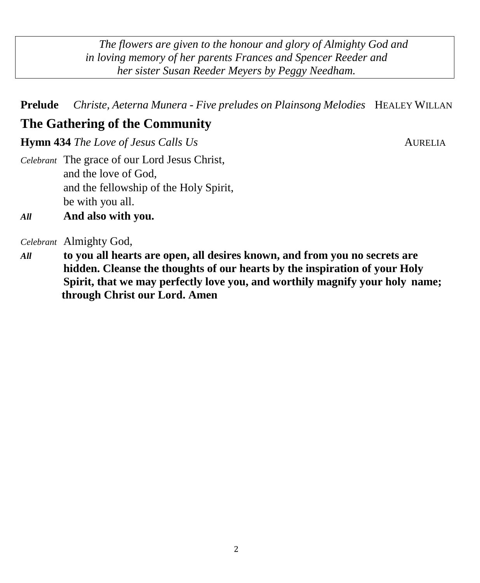*The flowers are given to the honour and glory of Almighty God and in loving memory of her parents Frances and Spencer Reeder and her sister Susan Reeder Meyers by Peggy Needham.*

**Prelude** *Christe, Aeterna Munera - Five preludes on Plainsong Melodies* HEALEY WILLAN

## **The Gathering of the Community**

**Hymn 434** *The Love of Jesus Calls Us*  $\blacksquare$ 

*Celebrant* The grace of our Lord Jesus Christ, and the love of God, and the fellowship of the Holy Spirit, be with you all.

*All* **And also with you.**

*Celebrant* Almighty God,

*All* **to you all hearts are open, all desires known, and from you no secrets are hidden. Cleanse the thoughts of our hearts by the inspiration of your Holy Spirit, that we may perfectly love you, and worthily magnify your holy name; through Christ our Lord. Amen**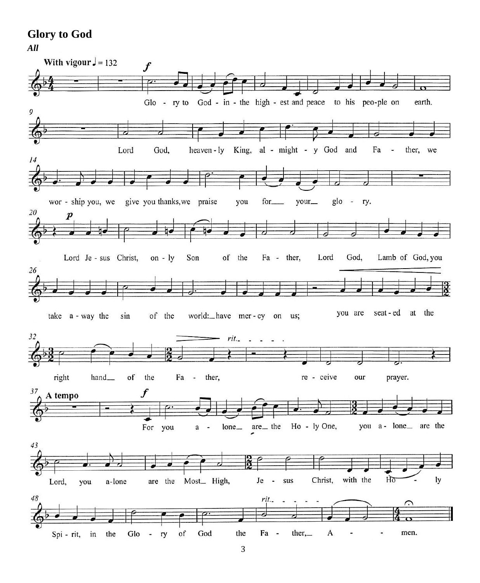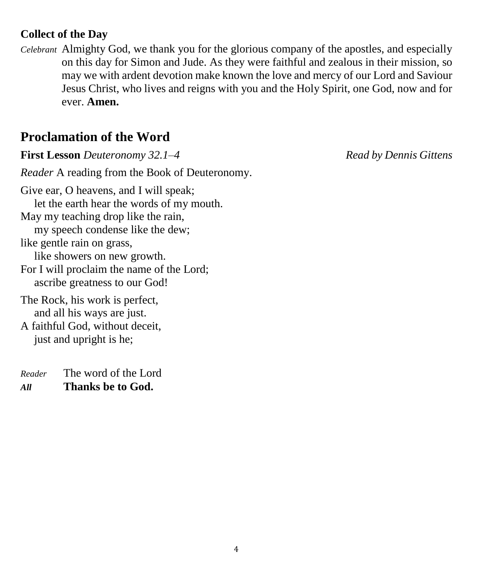## **Collect of the Day**

*Celebrant* Almighty God, we thank you for the glorious company of the apostles, and especially on this day for Simon and Jude. As they were faithful and zealous in their mission, so may we with ardent devotion make known the love and mercy of our Lord and Saviour Jesus Christ, who lives and reigns with you and the Holy Spirit, one God, now and for ever. **Amen.** 

## **Proclamation of the Word**

**First Lesson** *Deuteronomy 32.1–4**Read by Dennis Gittens Reader* A reading from the Book of Deuteronomy. Give ear, O heavens, and I will speak; let the earth hear the words of my mouth. May my teaching drop like the rain, my speech condense like the dew; like gentle rain on grass, like showers on new growth. For I will proclaim the name of the Lord; ascribe greatness to our God! The Rock, his work is perfect, and all his ways are just. A faithful God, without deceit, just and upright is he;

*Reader* The word of the Lord *All* **Thanks be to God.**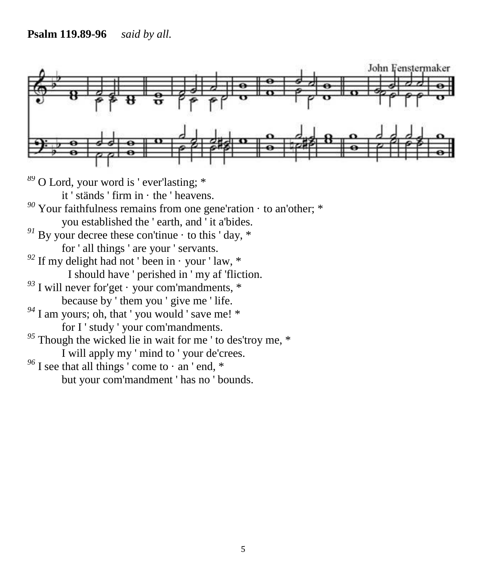

*<sup>89</sup>* O Lord, your word is ' ever'lasting; \* it ' ständs ' firm in · the ' heavens.  $90$  Your faithfulness remains from one gene'ration  $\cdot$  to an'other;  $*$ you established the ' earth, and ' it a'bides.  $91$  By your decree these con'tinue  $\cdot$  to this ' day,  $*$ for ' all things ' are your ' servants. *<sup>92</sup>* If my delight had not ' been in · your ' law, \* I should have ' perished in ' my af 'fliction.  $93$  I will never for get  $\cdot$  your com'mandments,  $*$ because by ' them you ' give me ' life. <sup>94</sup> I am yours; oh, that ' you would ' save me! \* for I ' study ' your com'mandments. <sup>95</sup> Though the wicked lie in wait for me ' to des'troy me, \* I will apply my ' mind to ' your de'crees.  $96$  I see that all things ' come to  $\cdot$  an ' end,  $*$ but your com'mandment ' has no ' bounds.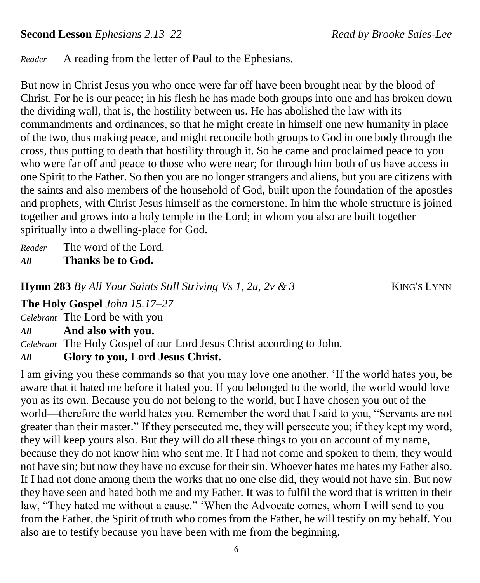**Second Lesson** *Ephesians 2.13–22 Read by Brooke Sales-Lee* 

*Reader* A reading from the letter of Paul to the Ephesians.

But now in Christ Jesus you who once were far off have been brought near by the blood of Christ. For he is our peace; in his flesh he has made both groups into one and has broken down the dividing wall, that is, the hostility between us. He has abolished the law with its commandments and ordinances, so that he might create in himself one new humanity in place of the two, thus making peace, and might reconcile both groups to God in one body through the cross, thus putting to death that hostility through it. So he came and proclaimed peace to you who were far off and peace to those who were near; for through him both of us have access in one Spirit to the Father. So then you are no longer strangers and aliens, but you are citizens with the saints and also members of the household of God, built upon the foundation of the apostles and prophets, with Christ Jesus himself as the cornerstone. In him the whole structure is joined together and grows into a holy temple in the Lord; in whom you also are built together spiritually into a dwelling-place for God.

*Reader* The word of the Lord. *All* **Thanks be to God.**

**Hymn 283** *By All Your Saints Still Striving Vs 1, 2u, 2v & 3* KING'S LYNN

**The Holy Gospel** *John 15.17–27*

*Celebrant* The Lord be with you

*All* **And also with you.**

*Celebrant* The Holy Gospel of our Lord Jesus Christ according to John.

*All* **Glory to you, Lord Jesus Christ.**

I am giving you these commands so that you may love one another. 'If the world hates you, be aware that it hated me before it hated you. If you belonged to the world, the world would love you as its own. Because you do not belong to the world, but I have chosen you out of the world—therefore the world hates you. Remember the word that I said to you, "Servants are not greater than their master." If they persecuted me, they will persecute you; if they kept my word, they will keep yours also. But they will do all these things to you on account of my name, because they do not know him who sent me. If I had not come and spoken to them, they would not have sin; but now they have no excuse for their sin. Whoever hates me hates my Father also. If I had not done among them the works that no one else did, they would not have sin. But now they have seen and hated both me and my Father. It was to fulfil the word that is written in their law, "They hated me without a cause." 'When the Advocate comes, whom I will send to you from the Father, the Spirit of truth who comes from the Father, he will testify on my behalf. You also are to testify because you have been with me from the beginning.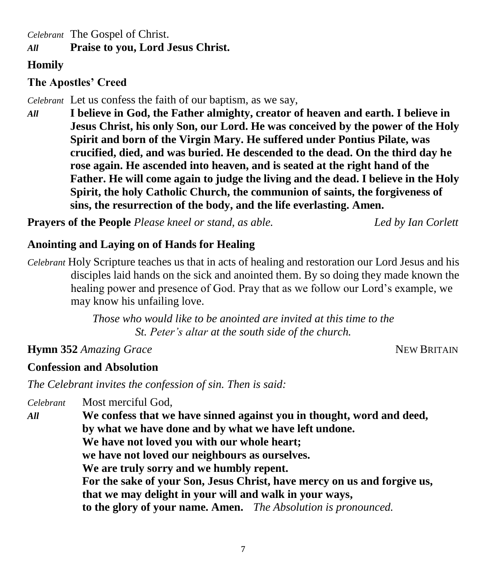*Celebrant* The Gospel of Christ.

#### *All* **Praise to you, Lord Jesus Christ.**

### **Homily**

## **The Apostles' Creed**

*Celebrant* Let us confess the faith of our baptism, as we say,

*All* **I believe in God, the Father almighty, creator of heaven and earth. I believe in Jesus Christ, his only Son, our Lord. He was conceived by the power of the Holy Spirit and born of the Virgin Mary. He suffered under Pontius Pilate, was crucified, died, and was buried. He descended to the dead. On the third day he rose again. He ascended into heaven, and is seated at the right hand of the Father. He will come again to judge the living and the dead. I believe in the Holy Spirit, the holy Catholic Church, the communion of saints, the forgiveness of sins, the resurrection of the body, and the life everlasting. Amen.**

**Prayers of the People** *Please kneel or stand, as able. Led by Ian Corlett*

### **Anointing and Laying on of Hands for Healing**

*Celebrant* Holy Scripture teaches us that in acts of healing and restoration our Lord Jesus and his disciples laid hands on the sick and anointed them. By so doing they made known the healing power and presence of God. Pray that as we follow our Lord's example, we may know his unfailing love.

> *Those who would like to be anointed are invited at this time to the St. Peter's altar at the south side of the church.*

#### **Hymn 352** *Amazing Grace* **NEW BRITAIN NEW BRITAIN**

## **Confession and Absolution**

*The Celebrant invites the confession of sin. Then is said:*

*Celebrant* Most merciful God,

*All* **We confess that we have sinned against you in thought, word and deed, by what we have done and by what we have left undone. We have not loved you with our whole heart; we have not loved our neighbours as ourselves. We are truly sorry and we humbly repent. For the sake of your Son, Jesus Christ, have mercy on us and forgive us, that we may delight in your will and walk in your ways, to the glory of your name. Amen.** *The Absolution is pronounced.*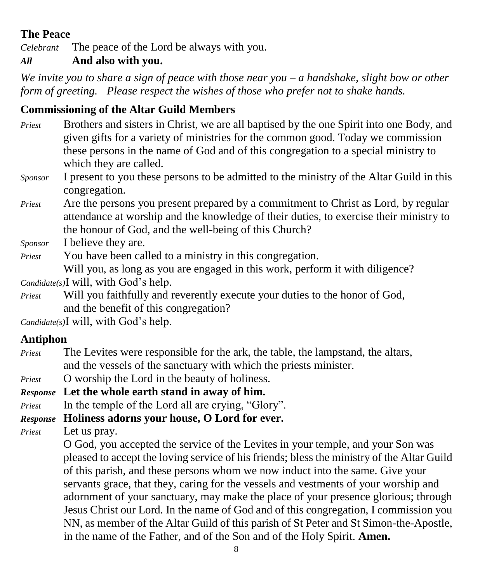## **The Peace**

*Celebrant* The peace of the Lord be always with you.

## *All* **And also with you.**

*We invite you to share a sign of peace with those near you – a handshake, slight bow or other form of greeting. Please respect the wishes of those who prefer not to shake hands.*

## **Commissioning of the Altar Guild Members**

- *Priest* Brothers and sisters in Christ, we are all baptised by the one Spirit into one Body, and given gifts for a variety of ministries for the common good. Today we commission these persons in the name of God and of this congregation to a special ministry to which they are called.
- *Sponsor* I present to you these persons to be admitted to the ministry of the Altar Guild in this congregation.
- *Priest* Are the persons you present prepared by a commitment to Christ as Lord, by regular attendance at worship and the knowledge of their duties, to exercise their ministry to the honour of God, and the well-being of this Church?
- *Sponsor* I believe they are.
- *Priest* You have been called to a ministry in this congregation.

Will you, as long as you are engaged in this work, perform it with diligence? *Candidate(s)*I will, with God's help.

*Priest* Will you faithfully and reverently execute your duties to the honor of God, and the benefit of this congregation?

*Candidate(s)*I will, with God's help.

## **Antiphon**

- *Priest* The Levites were responsible for the ark, the table, the lampstand, the altars, and the vessels of the sanctuary with which the priests minister.
- *Priest* O worship the Lord in the beauty of holiness.

*Response* **Let the whole earth stand in away of him.**

*Priest* In the temple of the Lord all are crying, "Glory".

## *Response* **Holiness adorns your house, O Lord for ever.**

*Priest* Let us pray.

O God, you accepted the service of the Levites in your temple, and your Son was pleased to accept the loving service of his friends; bless the ministry of the Altar Guild of this parish, and these persons whom we now induct into the same. Give your servants grace, that they, caring for the vessels and vestments of your worship and adornment of your sanctuary, may make the place of your presence glorious; through Jesus Christ our Lord. In the name of God and of this congregation, I commission you NN, as member of the Altar Guild of this parish of St Peter and St Simon-the-Apostle, in the name of the Father, and of the Son and of the Holy Spirit. **Amen.**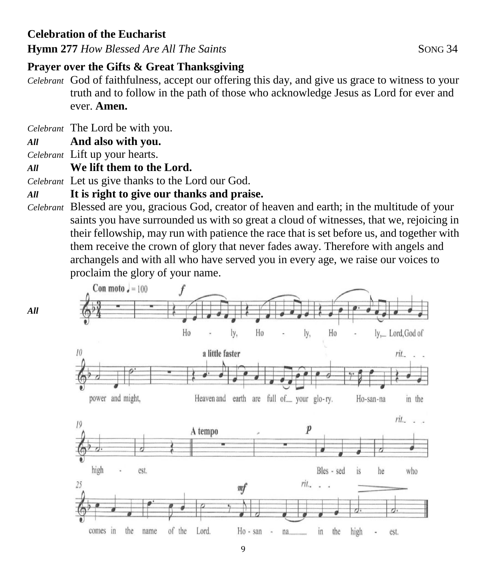#### **Celebration of the Eucharist**

**Hymn 277** *How Blessed Are All The Saints* SONG 34

## **Prayer over the Gifts & Great Thanksgiving**

*Celebrant* God of faithfulness, accept our offering this day, and give us grace to witness to your truth and to follow in the path of those who acknowledge Jesus as Lord for ever and ever. **Amen.**

*Celebrant* The Lord be with you.

*All* **And also with you.**

*Celebrant* Lift up your hearts.

*All*

### *All* **We lift them to the Lord.**

*Celebrant* Let us give thanks to the Lord our God.

### *All* **It is right to give our thanks and praise.**

*Celebrant* Blessed are you, gracious God, creator of heaven and earth; in the multitude of your saints you have surrounded us with so great a cloud of witnesses, that we, rejoicing in their fellowship, may run with patience the race that is set before us, and together with them receive the crown of glory that never fades away. Therefore with angels and archangels and with all who have served you in every age, we raise our voices to proclaim the glory of your name.

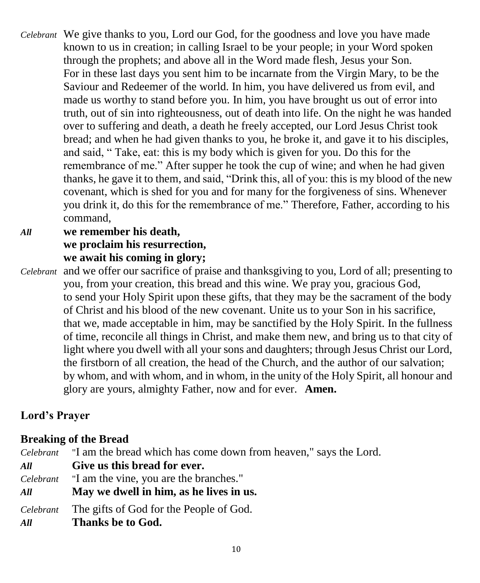- *Celebrant* We give thanks to you, Lord our God, for the goodness and love you have made known to us in creation; in calling Israel to be your people; in your Word spoken through the prophets; and above all in the Word made flesh, Jesus your Son. For in these last days you sent him to be incarnate from the Virgin Mary, to be the Saviour and Redeemer of the world. In him, you have delivered us from evil, and made us worthy to stand before you. In him, you have brought us out of error into truth, out of sin into righteousness, out of death into life. On the night he was handed over to suffering and death, a death he freely accepted, our Lord Jesus Christ took bread; and when he had given thanks to you, he broke it, and gave it to his disciples, and said, " Take, eat: this is my body which is given for you. Do this for the remembrance of me." After supper he took the cup of wine; and when he had given thanks, he gave it to them, and said, "Drink this, all of you: this is my blood of the new covenant, which is shed for you and for many for the forgiveness of sins. Whenever you drink it, do this for the remembrance of me." Therefore, Father, according to his command,
- *All* **we remember his death, we proclaim his resurrection, we await his coming in glory;**
- *Celebrant* and we offer our sacrifice of praise and thanksgiving to you, Lord of all; presenting to you, from your creation, this bread and this wine. We pray you, gracious God, to send your Holy Spirit upon these gifts, that they may be the sacrament of the body of Christ and his blood of the new covenant. Unite us to your Son in his sacrifice, that we, made acceptable in him, may be sanctified by the Holy Spirit. In the fullness of time, reconcile all things in Christ, and make them new, and bring us to that city of light where you dwell with all your sons and daughters; through Jesus Christ our Lord, the firstborn of all creation, the head of the Church, and the author of our salvation; by whom, and with whom, and in whom, in the unity of the Holy Spirit, all honour and glory are yours, almighty Father, now and for ever.**Amen.**

## **Lord's Prayer**

#### **Breaking of the Bread**

*Celebrant* "I am the bread which has come down from heaven," says the Lord. *All* **Give us this bread for ever.** *Celebrant* "I am the vine, you are the branches." *All* **May we dwell in him, as he lives in us.** *Celebrant* The gifts of God for the People of God.

*All* **Thanks be to God.**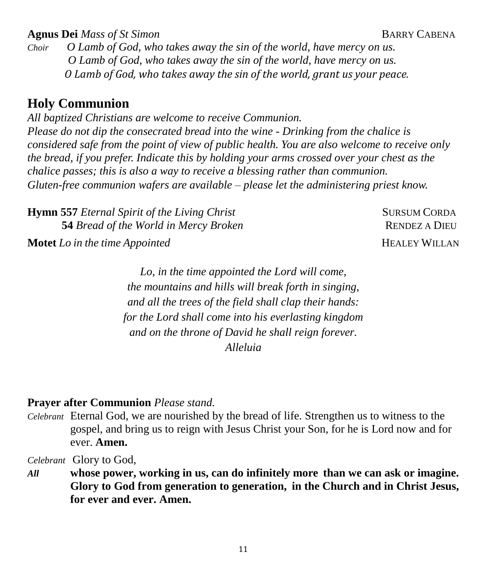#### **Agnus Dei** *Mass of St Simon* BARRY CABENA

*Choir O Lamb of God, who takes away the sin of the world, have mercy on us. O Lamb of God, who takes away the sin of the world, have mercy on us. O Lamb of God, who takes away the sin of the world, grant us your peace.*

## **Holy Communion**

*All baptized Christians are welcome to receive Communion. Please do not dip the consecrated bread into the wine - Drinking from the chalice is considered safe from the point of view of public health. You are also welcome to receive only the bread, if you prefer. Indicate this by holding your arms crossed over your chest as the chalice passes; this is also a way to receive a blessing rather than communion. Gluten-free communion wafers are available – please let the administering priest know.*

| <b>Hymn 557</b> Eternal Spirit of the Living Christ | <b>SURSUM CORDA</b>  |
|-----------------------------------------------------|----------------------|
| <b>54</b> Bread of the World in Mercy Broken        | RENDEZ A DIEU        |
| <b>Motet</b> Lo in the time Appointed               | <b>HEALEY WILLAN</b> |

*Lo, in the time appointed the Lord will come, the mountains and hills will break forth in singing, and all the trees of the field shall clap their hands: for the Lord shall come into his everlasting kingdom and on the throne of David he shall reign forever. Alleluia*

## **Prayer after Communion** *Please stand.*

*Celebrant* Eternal God, we are nourished by the bread of life. Strengthen us to witness to the gospel, and bring us to reign with Jesus Christ your Son, for he is Lord now and for ever. **Amen.**

*Celebrant* Glory to God,

*All* **whose power, working in us, can do infinitely more than we can ask or imagine. Glory to God from generation to generation, in the Church and in Christ Jesus, for ever and ever. Amen.**